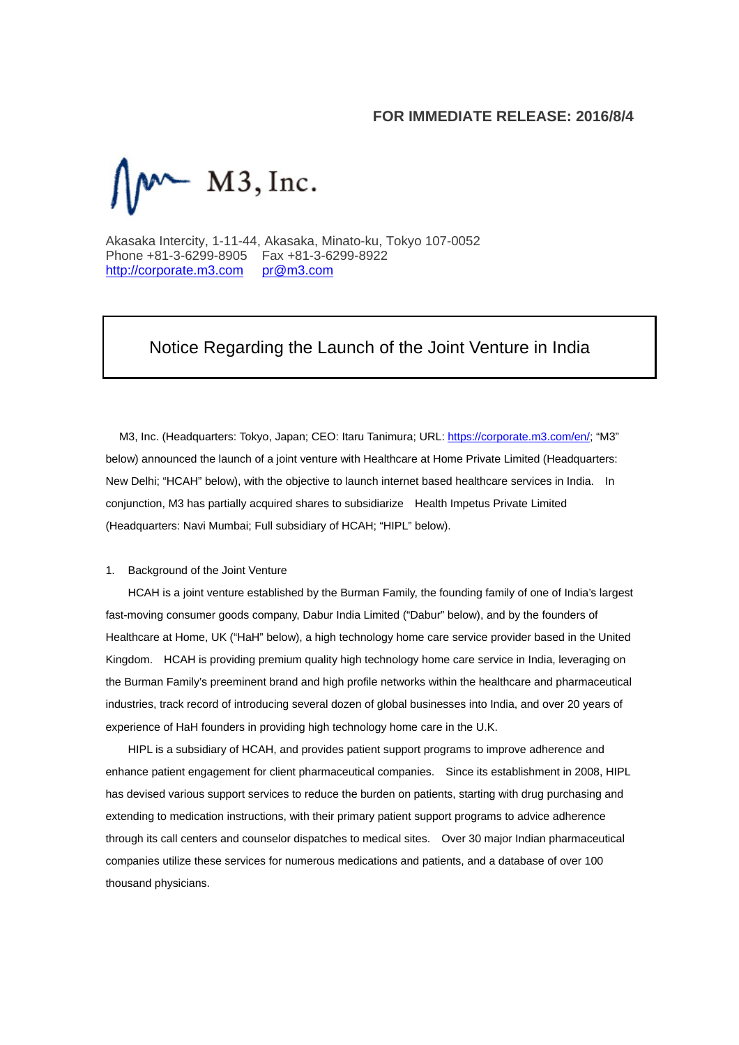## **FOR IMMEDIATE RELEASE: 2016/8/4**



Akasaka Intercity, 1-11-44, Akasaka, Minato-ku, Tokyo 107-0052 Phone +81-3-6299-8905 Fax +81-3-6299-8922 http://corporate.m3.com pr@m3.com

## Notice Regarding the Launch of the Joint Venture in India

M3, Inc. (Headquarters: Tokyo, Japan; CEO: Itaru Tanimura; URL: https://corporate.m3.com/en/; "M3" below) announced the launch of a joint venture with Healthcare at Home Private Limited (Headquarters: New Delhi; "HCAH" below), with the objective to launch internet based healthcare services in India. In conjunction, M3 has partially acquired shares to subsidiarize Health Impetus Private Limited (Headquarters: Navi Mumbai; Full subsidiary of HCAH; "HIPL" below).

## 1. Background of the Joint Venture

HCAH is a joint venture established by the Burman Family, the founding family of one of India's largest fast-moving consumer goods company, Dabur India Limited ("Dabur" below), and by the founders of Healthcare at Home, UK ("HaH" below), a high technology home care service provider based in the United Kingdom. HCAH is providing premium quality high technology home care service in India, leveraging on the Burman Family's preeminent brand and high profile networks within the healthcare and pharmaceutical industries, track record of introducing several dozen of global businesses into India, and over 20 years of experience of HaH founders in providing high technology home care in the U.K.

HIPL is a subsidiary of HCAH, and provides patient support programs to improve adherence and enhance patient engagement for client pharmaceutical companies. Since its establishment in 2008, HIPL has devised various support services to reduce the burden on patients, starting with drug purchasing and extending to medication instructions, with their primary patient support programs to advice adherence through its call centers and counselor dispatches to medical sites. Over 30 major Indian pharmaceutical companies utilize these services for numerous medications and patients, and a database of over 100 thousand physicians.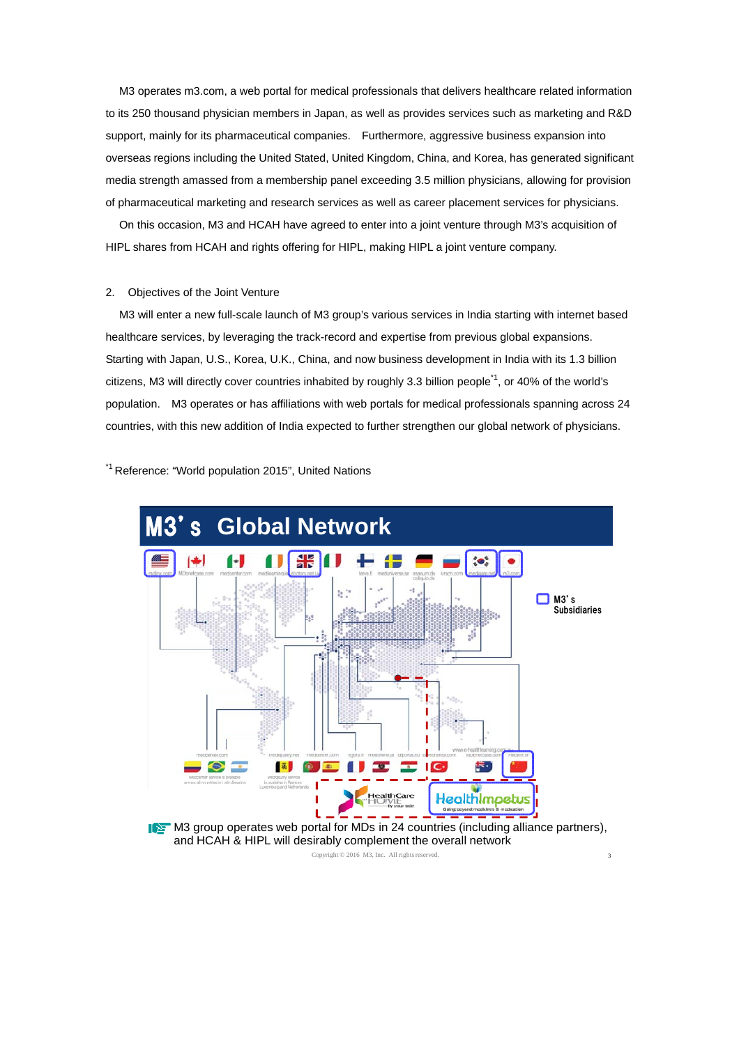M3 operates m3.com, a web portal for medical professionals that delivers healthcare related information to its 250 thousand physician members in Japan, as well as provides services such as marketing and R&D support, mainly for its pharmaceutical companies. Furthermore, aggressive business expansion into overseas regions including the United Stated, United Kingdom, China, and Korea, has generated significant media strength amassed from a membership panel exceeding 3.5 million physicians, allowing for provision of pharmaceutical marketing and research services as well as career placement services for physicians.

On this occasion, M3 and HCAH have agreed to enter into a joint venture through M3's acquisition of HIPL shares from HCAH and rights offering for HIPL, making HIPL a joint venture company.

## 2. Objectives of the Joint Venture

M3 will enter a new full-scale launch of M3 group's various services in India starting with internet based healthcare services, by leveraging the track-record and expertise from previous global expansions. Starting with Japan, U.S., Korea, U.K., China, and now business development in India with its 1.3 billion citizens, M3 will directly cover countries inhabited by roughly 3.3 billion people<sup>1</sup>, or 40% of the world's population. M3 operates or has affiliations with web portals for medical professionals spanning across 24 countries, with this new addition of India expected to further strengthen our global network of physicians.

\*1 Reference: "World population 2015", United Nations





Copyright  $© 2016$  M3, Inc. All rights reserved.